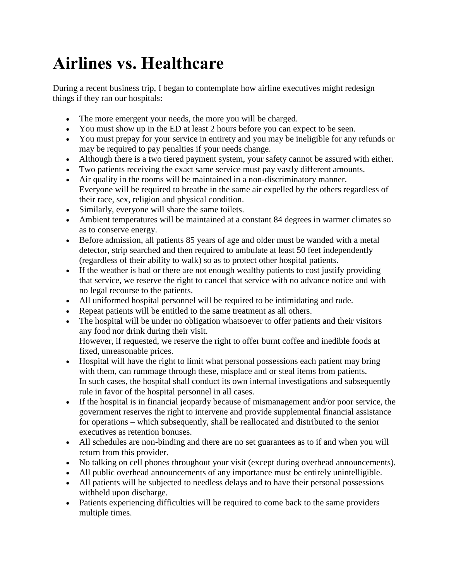## **Airlines vs. Healthcare**

During a recent business trip, I began to contemplate how airline executives might redesign things if they ran our hospitals:

- The more emergent your needs, the more you will be charged.
- You must show up in the ED at least 2 hours before you can expect to be seen.
- You must prepay for your service in entirety and you may be ineligible for any refunds or may be required to pay penalties if your needs change.
- Although there is a two tiered payment system, your safety cannot be assured with either.
- Two patients receiving the exact same service must pay vastly different amounts.
- Air quality in the rooms will be maintained in a non-discriminatory manner. Everyone will be required to breathe in the same air expelled by the others regardless of their race, sex, religion and physical condition.
- Similarly, everyone will share the same toilets.
- Ambient temperatures will be maintained at a constant 84 degrees in warmer climates so as to conserve energy.
- Before admission, all patients 85 years of age and older must be wanded with a metal detector, strip searched and then required to ambulate at least 50 feet independently (regardless of their ability to walk) so as to protect other hospital patients.
- If the weather is bad or there are not enough wealthy patients to cost justify providing that service, we reserve the right to cancel that service with no advance notice and with no legal recourse to the patients.
- All uniformed hospital personnel will be required to be intimidating and rude.
- Repeat patients will be entitled to the same treatment as all others.
- The hospital will be under no obligation whatsoever to offer patients and their visitors any food nor drink during their visit. However, if requested, we reserve the right to offer burnt coffee and inedible foods at
	- fixed, unreasonable prices.
- Hospital will have the right to limit what personal possessions each patient may bring with them, can rummage through these, misplace and or steal items from patients. In such cases, the hospital shall conduct its own internal investigations and subsequently rule in favor of the hospital personnel in all cases.
- If the hospital is in financial jeopardy because of mismanagement and/or poor service, the government reserves the right to intervene and provide supplemental financial assistance for operations – which subsequently, shall be reallocated and distributed to the senior executives as retention bonuses.
- All schedules are non-binding and there are no set guarantees as to if and when you will return from this provider.
- No talking on cell phones throughout your visit (except during overhead announcements).
- All public overhead announcements of any importance must be entirely unintelligible.
- All patients will be subjected to needless delays and to have their personal possessions withheld upon discharge.
- Patients experiencing difficulties will be required to come back to the same providers multiple times.